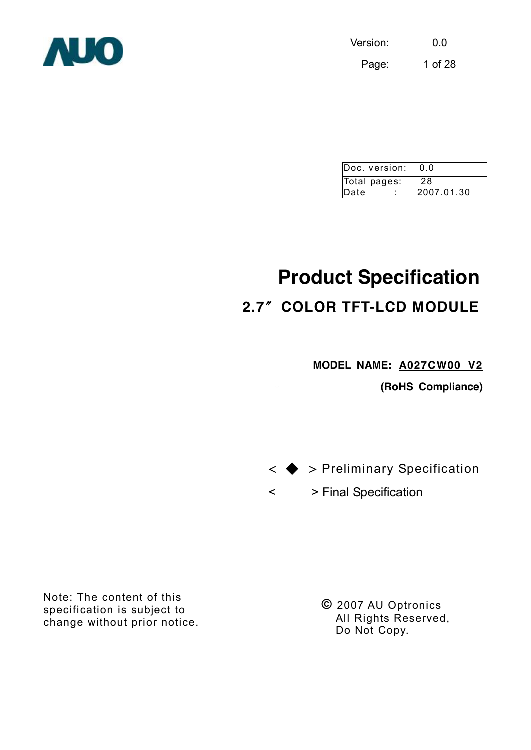Version: 0.0 Page: 1 of 28



| Doc. version: | n n        |
|---------------|------------|
| Total pages:  | 28         |
| Date          | 2007.01.30 |

# **Product Specification**

# **2.7**〞**COLOR TFT-LCD MODULE**

**MODEL NAME: A027CW00 V2**

**(RoHS Compliance)** 



< > Final Specification

Note: The content of this specification is subject to change without prior notice.

**©** 2007 AU Optronics All Rights Reserved, Do Not Copy.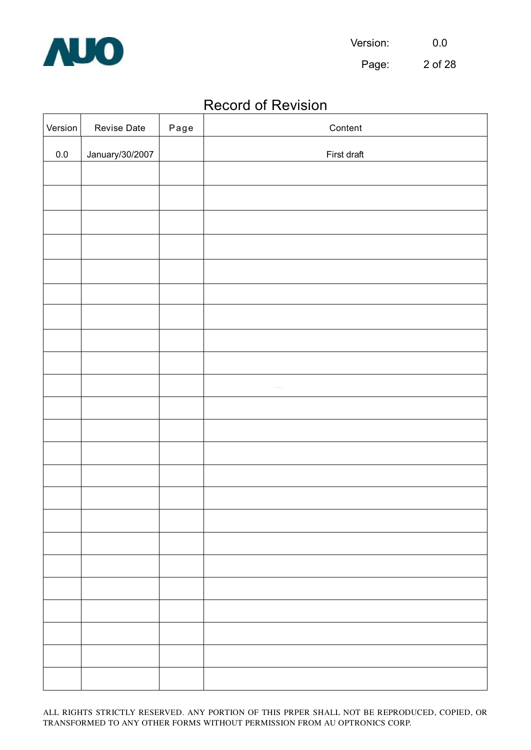

Page: 2 of 28

# Record of Revision

| Version | Revise Date     | Page | Content     |
|---------|-----------------|------|-------------|
| $0.0\,$ | January/30/2007 |      | First draft |
|         |                 |      |             |
|         |                 |      |             |
|         |                 |      |             |
|         |                 |      |             |
|         |                 |      |             |
|         |                 |      |             |
|         |                 |      |             |
|         |                 |      |             |
|         |                 |      |             |
|         |                 |      |             |
|         |                 |      |             |
|         |                 |      |             |
|         |                 |      |             |
|         |                 |      |             |
|         |                 |      |             |
|         |                 |      |             |
|         |                 |      |             |
|         |                 |      |             |
|         |                 |      |             |
|         |                 |      |             |
|         |                 |      |             |
|         |                 |      |             |
|         |                 |      |             |
|         |                 |      |             |
|         |                 |      |             |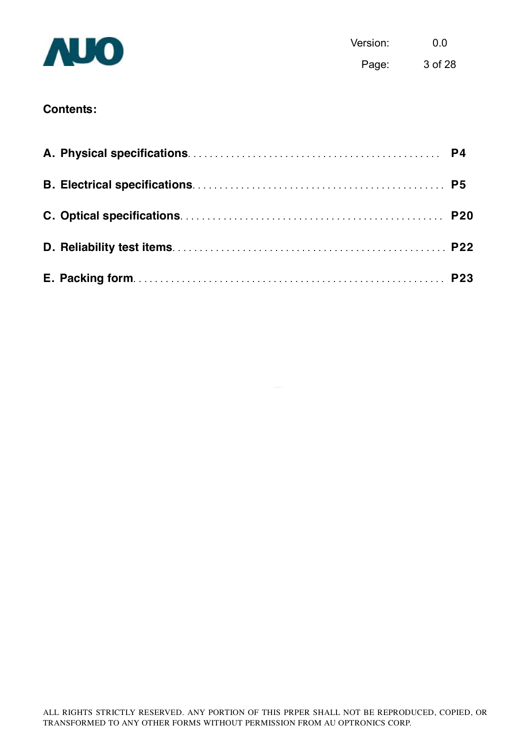

Version: 0.0 Page: 3 of 28

# **Contents:**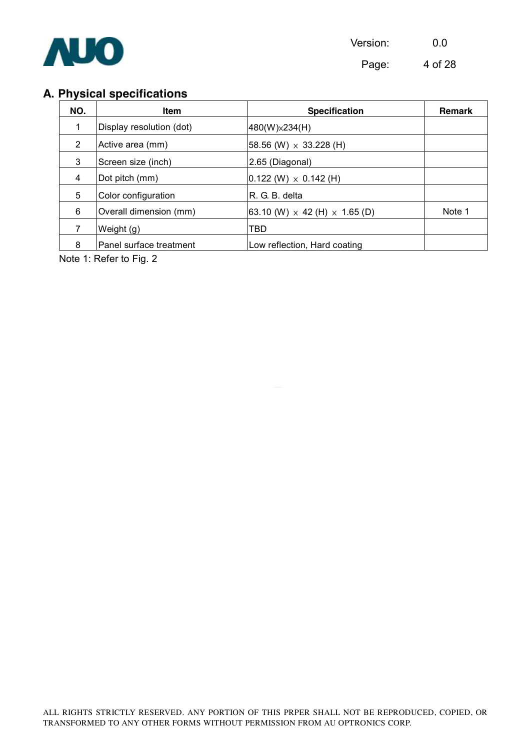

Page: 4 of 28

# **A. Physical specifications**

| NO. | <b>Item</b>              | <b>Specification</b>                             | <b>Remark</b> |
|-----|--------------------------|--------------------------------------------------|---------------|
|     | Display resolution (dot) | 480(W) × 234(H)                                  |               |
| 2   | Active area (mm)         | $ 58.56 \ (W) \times 33.228 \ (H)$               |               |
| 3   | Screen size (inch)       | 2.65 (Diagonal)                                  |               |
| 4   | Dot pitch (mm)           | $0.122$ (W) $\times$ 0.142 (H)                   |               |
| 5   | Color configuration      | R. G. B. delta                                   |               |
| 6   | Overall dimension (mm)   | $ 63.10 \ (W) \times 42 \ (H) \times 1.65 \ (D)$ | Note 1        |
|     | Weight (g)               | TBD                                              |               |
| 8   | Panel surface treatment  | Low reflection, Hard coating                     |               |

Note 1: Refer to Fig. 2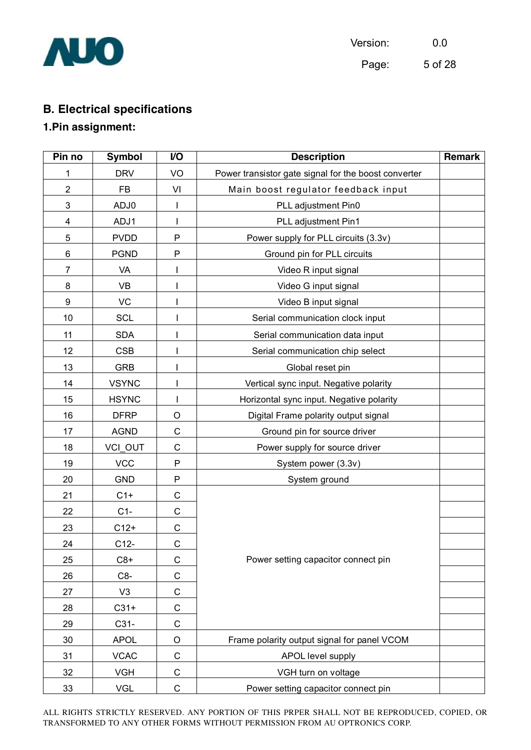

| Version: | 0.0     |
|----------|---------|
| Page:    | 5 of 28 |

# **B. Electrical specifications**

## **1.Pin assignment:**

| Pin no         | <b>Symbol</b>  | V <sub>O</sub> | <b>Description</b>                                   | Remark |  |
|----------------|----------------|----------------|------------------------------------------------------|--------|--|
| 1              | <b>DRV</b>     | VO             | Power transistor gate signal for the boost converter |        |  |
| $\overline{2}$ | <b>FB</b>      | VI             | Main boost regulator feedback input                  |        |  |
| 3              | ADJ0           |                | PLL adjustment Pin0                                  |        |  |
| 4              | ADJ1           |                | PLL adjustment Pin1                                  |        |  |
| 5              | <b>PVDD</b>    | P              | Power supply for PLL circuits (3.3v)                 |        |  |
| 6              | <b>PGND</b>    | P              | Ground pin for PLL circuits                          |        |  |
| $\overline{7}$ | VA             |                | Video R input signal                                 |        |  |
| 8              | VB             |                | Video G input signal                                 |        |  |
| 9              | <b>VC</b>      |                | Video B input signal                                 |        |  |
| 10             | <b>SCL</b>     |                | Serial communication clock input                     |        |  |
| 11             | <b>SDA</b>     |                | Serial communication data input                      |        |  |
| 12             | <b>CSB</b>     |                | Serial communication chip select                     |        |  |
| 13             | <b>GRB</b>     |                | Global reset pin                                     |        |  |
| 14             | <b>VSYNC</b>   |                | Vertical sync input. Negative polarity               |        |  |
| 15             | <b>HSYNC</b>   |                | Horizontal sync input. Negative polarity             |        |  |
| 16             | <b>DFRP</b>    | O              | Digital Frame polarity output signal                 |        |  |
| 17             | <b>AGND</b>    | $\mathsf C$    | Ground pin for source driver                         |        |  |
| 18             | VCI_OUT        | $\mathsf C$    | Power supply for source driver                       |        |  |
| 19             | <b>VCC</b>     | ${\sf P}$      | System power (3.3v)                                  |        |  |
| 20             | <b>GND</b>     | ${\sf P}$      | System ground                                        |        |  |
| 21             | $C1+$          | $\mathsf C$    |                                                      |        |  |
| 22             | $C1-$          | C              |                                                      |        |  |
| 23             | $C12+$         | $\mathsf C$    |                                                      |        |  |
| 24             | $C12-$         | $\mathsf C$    |                                                      |        |  |
| 25             | $C8+$          | C              | Power setting capacitor connect pin                  |        |  |
| 26             | C8-            | $\mathsf C$    |                                                      |        |  |
| 27             | V <sub>3</sub> | $\mathsf C$    |                                                      |        |  |
| 28             | $C31+$         | $\mathsf C$    |                                                      |        |  |
| 29             | $C31-$         | $\mathsf C$    |                                                      |        |  |
| 30             | <b>APOL</b>    | $\mathsf O$    | Frame polarity output signal for panel VCOM          |        |  |
| 31             | <b>VCAC</b>    | C              | APOL level supply                                    |        |  |
| 32             | <b>VGH</b>     | $\mathsf C$    | VGH turn on voltage                                  |        |  |
| 33             | <b>VGL</b>     | $\mathsf C$    | Power setting capacitor connect pin                  |        |  |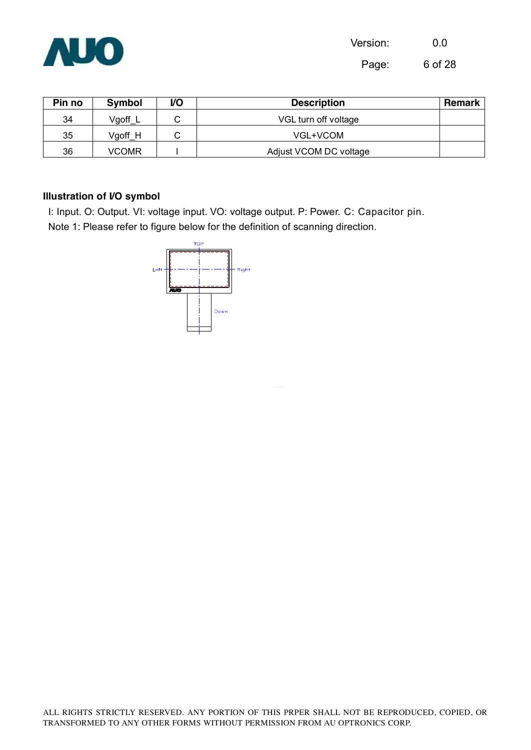

Page: 6 of 28

| Pin no | Symbol              | V <sub>O</sub> | <b>Description</b>     | Remark |  |
|--------|---------------------|----------------|------------------------|--------|--|
| 34     | Vgoff L             |                | VGL turn off voltage   |        |  |
| 35     | Vgoff H<br>VGL+VCOM |                |                        |        |  |
| 36     | <b>VCOMR</b>        |                | Adjust VCOM DC voltage |        |  |

#### **Illustration of I/O symbol**

I: Input. O: Output. VI: voltage input. VO: voltage output. P: Power. C: Capacitor pin. Note 1: Please refer to figure below for the definition of scanning direction.

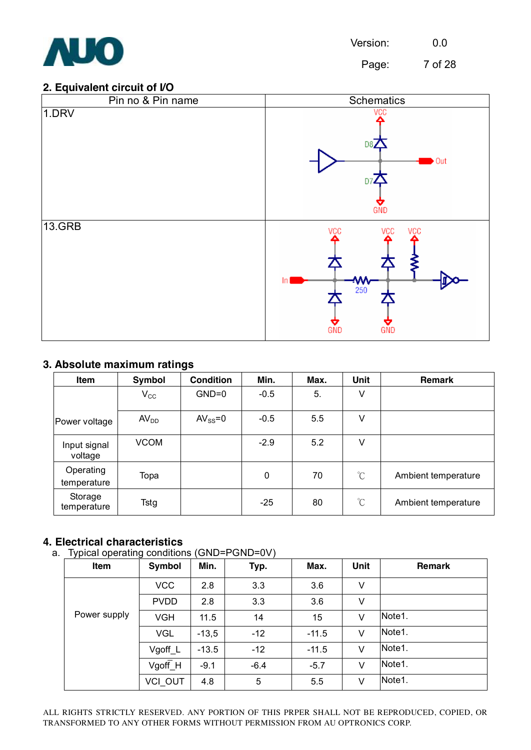

Page: 7 of 28

#### **2. Equivalent circuit of I/O**



#### **3. Absolute maximum ratings**

| Item                     | Symbol           | <b>Condition</b> | Min.   | Max. | Unit                 | Remark              |
|--------------------------|------------------|------------------|--------|------|----------------------|---------------------|
|                          | $V_{\rm CC}$     | $GND=0$          | $-0.5$ | 5.   | ٧                    |                     |
| Power voltage            | AV <sub>DD</sub> | $AV_{SS} = 0$    | $-0.5$ | 5.5  | V                    |                     |
| Input signal<br>voltage  | <b>VCOM</b>      |                  | $-2.9$ | 5.2  | V                    |                     |
| Operating<br>temperature | Topa             |                  | 0      | 70   | $\rm{C}$             | Ambient temperature |
| Storage<br>temperature   | Tstg             |                  | $-25$  | 80   | $\mathrm{C}^{\circ}$ | Ambient temperature |

#### **4. Electrical characteristics**

a. Typical operating conditions (GND=PGND=0V)

| .<br>Item    | ີ<br>Symbol    | Min.    | Typ.   | Max.    | <b>Unit</b> | <b>Remark</b> |
|--------------|----------------|---------|--------|---------|-------------|---------------|
|              | <b>VCC</b>     | 2.8     | 3.3    | 3.6     | V           |               |
|              | <b>PVDD</b>    | 2.8     | 3.3    | 3.6     | V           |               |
| Power supply | <b>VGH</b>     | 11.5    | 14     | 15      | V           | Note1.        |
|              | <b>VGL</b>     | $-13,5$ | $-12$  | $-11.5$ | V           | Note1.        |
|              | Vgoff_L        | $-13.5$ | $-12$  | $-11.5$ | V           | Note1.        |
|              | $V$ goff $H$   | $-9.1$  | $-6.4$ | $-5.7$  | V           | Note1.        |
|              | <b>VCI OUT</b> | 4.8     | 5      | 5.5     | V           | Note1.        |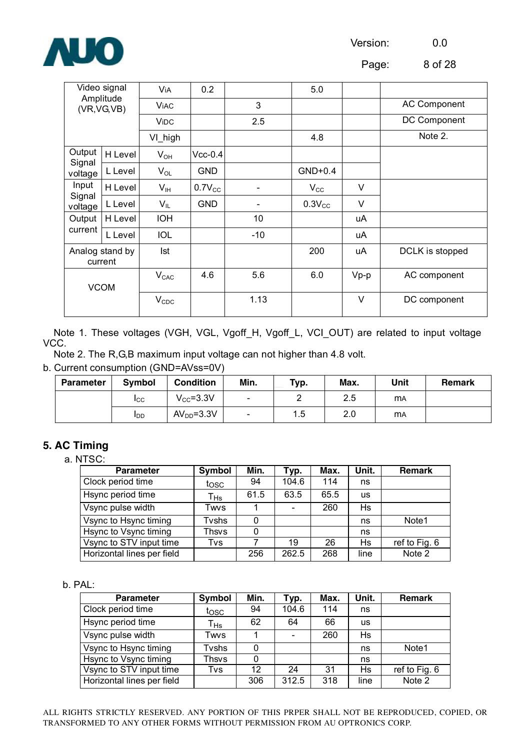

Page: 8 of 28

| Video signal<br>Amplitude<br>(VR, VG, VB) |         | Via         | 0.2         |                          | 5.0          |        |                     |
|-------------------------------------------|---------|-------------|-------------|--------------------------|--------------|--------|---------------------|
|                                           |         | <b>ViAC</b> |             | 3                        |              |        | <b>AC Component</b> |
|                                           |         | <b>ViDC</b> |             | 2.5                      |              |        | DC Component        |
|                                           |         | VI_high     |             |                          | 4.8          |        | Note 2.             |
| Output                                    | H Level | $V_{OH}$    | $Vcc-0.4$   |                          |              |        |                     |
| Signal<br>L Level<br>voltage              |         | $V_{OL}$    | <b>GND</b>  |                          | $GND+0.4$    |        |                     |
| Input                                     | H Level | $V_{IH}$    | $0.7V_{CC}$ | $\overline{\phantom{a}}$ | $V_{\rm CC}$ | V      |                     |
| Signal<br>voltage                         | L Level | $V_{IL}$    | <b>GND</b>  |                          | $0.3V_{CC}$  | V      |                     |
| Output                                    | H Level | <b>IOH</b>  |             | 10                       |              | uA     |                     |
| current                                   | L Level | <b>IOL</b>  |             | $-10$                    |              | uA     |                     |
| Analog stand by<br>current                |         | Ist         |             |                          | 200          | uA     | DCLK is stopped     |
| <b>VCOM</b>                               |         | $V_{CAC}$   | 4.6         | 5.6                      | 6.0          | $Vp-p$ | AC component        |
|                                           |         | $V_{CDC}$   |             | 1.13                     |              | V      | DC component        |

Note 1. These voltages (VGH, VGL, Vgoff\_H, Vgoff\_L, VCI\_OUT) are related to input voltage VCC.

Note 2. The R,G,B maximum input voltage can not higher than 4.8 volt.

#### b. Current consumption (GND=AVss=0V)

| <b>Parameter</b> | <b>Symbol</b> | <b>Condition</b> | Min.                     | Typ. | Max. | Unit      | <b>Remark</b> |
|------------------|---------------|------------------|--------------------------|------|------|-----------|---------------|
|                  | <b>I</b> CC   | $V_{CC} = 3.3V$  | $\overline{\phantom{a}}$ |      | 2.5  | <b>MA</b> |               |
|                  | <b>I</b> DD   | $AVDD=3.3V$      | $\sim$                   | 1.5  | 2.0  | <b>MA</b> |               |

#### **5. AC Timing**

a. NTSC:

| <b>Parameter</b>           | Symbol   | Min. | Typ.                     | Max. | Unit.     | <b>Remark</b> |
|----------------------------|----------|------|--------------------------|------|-----------|---------------|
| Clock period time          | tosc     | 94   | 104.6                    | 114  | ns        |               |
| Hsync period time          | $T_{Hs}$ | 61.5 | 63.5                     | 65.5 | <b>us</b> |               |
| Vsync pulse width          | Twvs     |      | $\overline{\phantom{0}}$ | 260  | Hs        |               |
| Vsync to Hsync timing      | Tvshs    | 0    |                          |      | ns        | Note1         |
| Hsync to Vsync timing      | Thsvs    | 0    |                          |      | ns        |               |
| Vsync to STV input time    | Tvs      |      | 19                       | 26   | Hs        | ref to Fig. 6 |
| Horizontal lines per field |          | 256  | 262.5                    | 268  | line      | Note 2        |

#### b. PAL:

| <b>Parameter</b>           | Symbol                     | Min. | Typ.  | Max. | Unit.     | <b>Remark</b> |
|----------------------------|----------------------------|------|-------|------|-----------|---------------|
| Clock period time          | tosc                       | 94   | 104.6 | 114  | ns        |               |
| Hsync period time          | $\mathsf{T}_{\mathsf{Hs}}$ | 62   | 64    | 66   | <b>us</b> |               |
| Vsync pulse width          | Twvs                       |      |       | 260  | Hs        |               |
| Vsync to Hsync timing      | Tvshs                      | 0    |       |      | ns        | Note1         |
| Hsync to Vsync timing      | Thsvs                      | 0    |       |      | ns        |               |
| Vsync to STV input time    | Tvs                        | 12   | 24    | 31   | Hs        | ref to Fig. 6 |
| Horizontal lines per field |                            | 306  | 312.5 | 318  | line      | Note 2        |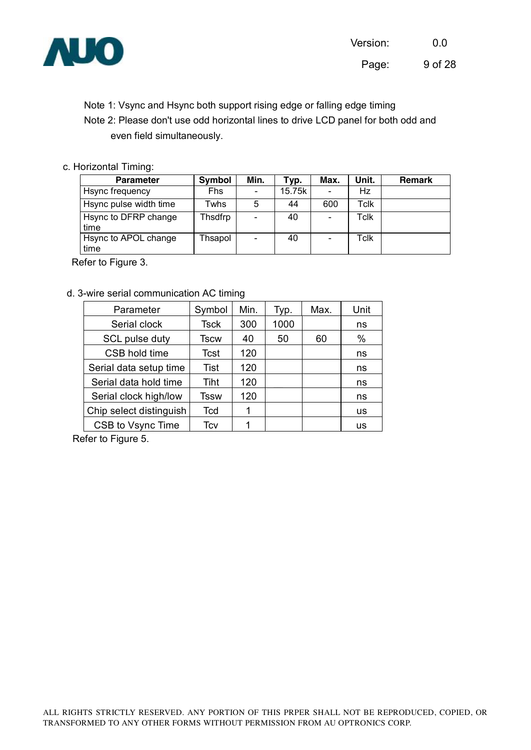

 Note 1: Vsync and Hsync both support rising edge or falling edge timing Note 2: Please don't use odd horizontal lines to drive LCD panel for both odd and even field simultaneously.

#### c. Horizontal Timing:

| <b>Parameter</b>             | Symbol     | Min.                     | $\tau$ yp. | Max.                     | Unit. | <b>Remark</b> |
|------------------------------|------------|--------------------------|------------|--------------------------|-------|---------------|
| Hsync frequency              | <b>Fhs</b> |                          | 15.75k     | $\blacksquare$           | Hz    |               |
| Hsync pulse width time       | Twhs       | 5                        | 44         | 600                      | Tclk  |               |
| Hsync to DFRP change<br>time | Thsdfrp    | $\overline{\phantom{0}}$ | 40         | $\overline{\phantom{a}}$ | Tclk  |               |
| Hsync to APOL change<br>time | Thsapol    |                          | 40         | $\overline{\phantom{a}}$ | Tclk  |               |

Refer to Figure 3.

#### d. 3-wire serial communication AC timing

| Parameter               | Symbol      | Min. | Typ. | Max. | Unit |
|-------------------------|-------------|------|------|------|------|
| Serial clock            | <b>Tsck</b> | 300  | 1000 |      | ns   |
| SCL pulse duty          | Tscw        | 40   | 50   | 60   | %    |
| CSB hold time           | <b>Tcst</b> | 120  |      |      | ns   |
| Serial data setup time  | <b>Tist</b> | 120  |      |      | ns   |
| Serial data hold time   | Tiht        | 120  |      |      | ns   |
| Serial clock high/low   | Tssw        | 120  |      |      | ns   |
| Chip select distinguish | Tcd         |      |      |      | us   |
| CSB to Vsync Time       | Tcv         |      |      |      | us   |

Refer to Figure 5.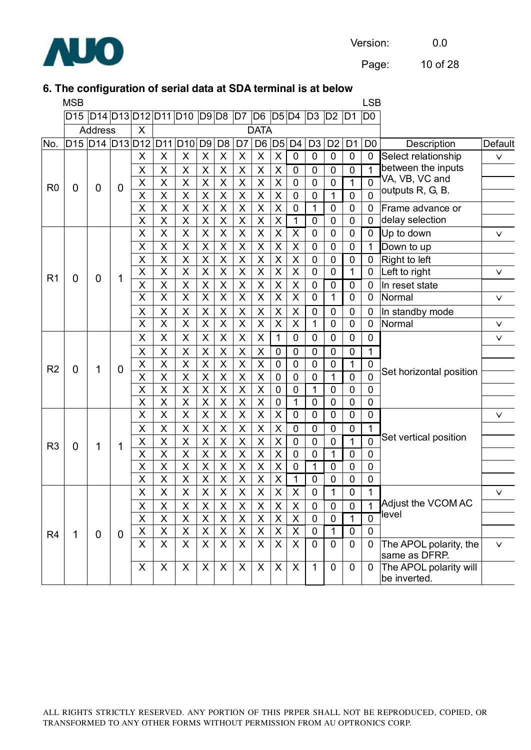

Page: 10 of 28

#### **6. The configuration of serial data at SDA terminal is at below**

|                | <b>MSB</b> |                                                 |                |                         |                         |                         |                         |                         |                         |                         |                    |                         |                |                |                | <b>LSB</b>     |                                         |              |
|----------------|------------|-------------------------------------------------|----------------|-------------------------|-------------------------|-------------------------|-------------------------|-------------------------|-------------------------|-------------------------|--------------------|-------------------------|----------------|----------------|----------------|----------------|-----------------------------------------|--------------|
|                |            | D15 D14 D13 D12 D11 D10 D9 D8 D7 D6 D5 D4 D3 D2 |                |                         |                         |                         |                         |                         |                         |                         |                    |                         |                |                | ID1            | D <sub>0</sub> |                                         |              |
|                |            | <b>Address</b>                                  |                | X                       |                         |                         |                         |                         |                         | <b>DATA</b>             |                    |                         |                |                |                |                |                                         |              |
| No.            |            | D15 D14 D13 D12                                 |                |                         | D <sub>11</sub>         | D <sub>10</sub>         | D <sub>9</sub>          | D <sub>8</sub>          | D <sub>7</sub>          | D <sub>6</sub>          | D <sub>5</sub>     | D <sub>4</sub>          | D <sub>3</sub> | D <sub>2</sub> | D <sub>1</sub> | D <sub>0</sub> | Description                             | Default      |
|                |            |                                                 |                | X                       | X                       | X                       | X                       | $\sf X$                 | X                       | X                       | X                  | $\overline{0}$          | $\overline{0}$ | $\mathbf 0$    | $\mathbf 0$    | $\mathbf 0$    | Select relationship                     | $\vee$       |
|                |            |                                                 |                | X                       | X                       | X                       | X                       | X                       | X                       | X                       | X                  | 0                       | $\mathbf 0$    | 0              | 0              | 1              | between the inputs                      |              |
| R <sub>0</sub> | 0          | 0                                               | 0              | $\pmb{\mathsf{X}}$      | X                       | $\pmb{\mathsf{X}}$      | $\pmb{\mathsf{X}}$      | $\pmb{\mathsf{X}}$      | $\pmb{\mathsf{X}}$      | $\pmb{\mathsf{X}}$      | $\pmb{\times}$     | $\mathbf 0$             | $\mathbf 0$    | $\mathbf 0$    | 1              | $\overline{0}$ | VA, VB, VC and                          |              |
|                |            |                                                 |                | X                       | X                       | $\sf X$                 | $\overline{\mathsf{X}}$ | $\overline{\mathsf{X}}$ | $\overline{\mathsf{X}}$ | $\sf X$                 | X                  | $\mathbf 0$             | $\mathbf 0$    | $\mathbf{1}$   | $\mathbf 0$    | $\overline{0}$ | outputs R, G, B.                        |              |
|                |            |                                                 |                | X                       | X                       | $\sf X$                 | X                       | X                       | X                       | X                       | X                  | 0                       | 1              | $\mathbf 0$    | 0              | 0              | Frame advance or                        |              |
|                |            |                                                 |                | X                       | X                       | $\sf X$                 | $\sf X$                 | $\sf X$                 | $\sf X$                 | $\sf X$                 | $\sf X$            | 1                       | $\mathbf 0$    | $\mathbf 0$    | $\mathbf 0$    | $\overline{0}$ | delay selection                         |              |
|                |            |                                                 |                | X                       | X                       | X                       | X                       | $\mathsf X$             | $\pmb{\times}$          | $\mathsf X$             | X                  | $\pmb{\times}$          | $\mathbf 0$    | $\mathbf 0$    | $\mathbf 0$    | $\mathbf 0$    | Up to down                              | $\vee$       |
|                |            |                                                 |                | X                       | X                       | $\pmb{\mathsf{X}}$      | X                       | $\pmb{\mathsf{X}}$      | $\pmb{\mathsf{X}}$      | $\pmb{\mathsf{X}}$      | X                  | $\mathsf X$             | $\mathbf 0$    | $\mathbf 0$    | $\mathbf 0$    | $\mathbf{1}$   | Down to up                              |              |
|                |            |                                                 |                | X                       | X                       | $\sf X$                 | $\mathsf{X}$            | $\mathsf{X}$            | $\sf X$                 | $\sf X$                 | $\sf X$            | $\sf X$                 | $\mathbf 0$    | $\mathbf 0$    | $\mathbf 0$    | $\mathbf 0$    | Right to left                           |              |
| R <sub>1</sub> | 0          | $\mathbf 0$                                     | 1              | X                       | X                       | $\sf X$                 | $\sf X$                 | X                       | X                       | $\sf X$                 | X                  | $\sf X$                 | $\overline{0}$ | $\mathbf 0$    | 1              | $\mathbf 0$    | Left to right                           | $\checkmark$ |
|                |            |                                                 |                | X                       | X                       | $\sf X$                 | X                       | $\sf X$                 | $\sf X$                 | $\mathsf X$             | X                  | X                       | $\mathbf 0$    | $\mathbf 0$    | $\mathbf 0$    | $\mathbf 0$    | In reset state                          |              |
|                |            |                                                 |                | $\overline{\mathsf{x}}$ | $\overline{\mathsf{X}}$ | $\overline{\mathsf{x}}$ | $\overline{\mathsf{x}}$ | $\overline{\mathsf{x}}$ | $\overline{\mathsf{x}}$ | $\overline{X}$          | X                  | $\overline{\mathsf{X}}$ | $\mathbf 0$    | 1              | $\mathbf 0$    | 0              | Normal                                  | $\vee$       |
|                |            |                                                 |                | $\pmb{\times}$          | X                       | $\mathsf X$             | X                       | $\pmb{\mathsf{X}}$      | $\pmb{\mathsf{X}}$      | $\pmb{\mathsf{X}}$      | X                  | X                       | $\mathbf 0$    | $\mathbf 0$    | $\mathbf 0$    | 0              | In standby mode                         |              |
|                |            |                                                 |                | X                       | X                       | $\overline{\mathsf{x}}$ | $\sf X$                 | $\overline{\mathsf{x}}$ | $\overline{\mathsf{X}}$ | $\overline{\mathsf{x}}$ | X                  | X                       | $\mathbf{1}$   | $\mathbf 0$    | $\mathbf 0$    | $\overline{0}$ | Normal                                  | $\vee$       |
|                |            |                                                 |                | X                       | X                       | $\pmb{\times}$          | X                       | X                       | X                       | X                       | $\mathbf{1}$       | $\mathbf 0$             | $\mathbf 0$    | $\mathbf 0$    | $\mathbf 0$    | $\mathbf 0$    |                                         | $\checkmark$ |
|                |            |                                                 |                | X                       | X                       | $\sf X$                 | X                       | X                       | X                       | X                       | 0                  | 0                       | $\mathbf 0$    | $\mathbf 0$    | $\mathbf 0$    | 1              |                                         |              |
| R <sub>2</sub> | 0          | 1                                               | $\overline{0}$ | $\pmb{\times}$          | X                       | X                       | $\pmb{\mathsf{X}}$      | X                       | X                       | X                       | $\mathbf 0$        | $\mathbf 0$             | $\mathbf 0$    | $\mathbf 0$    | 1              | $\mathbf 0$    | Set horizontal position                 |              |
|                |            |                                                 |                | X                       | X                       | $\overline{\mathsf{X}}$ | $\overline{\mathsf{X}}$ | $\overline{\mathsf{X}}$ | $\overline{\mathsf{X}}$ | $\overline{\mathsf{X}}$ | $\overline{0}$     | $\mathbf 0$             | $\overline{0}$ | $\mathbf{1}$   | $\overline{0}$ | $\overline{0}$ |                                         |              |
|                |            |                                                 |                | X                       | X                       | $\sf X$                 | X                       | X                       | X                       | X                       | 0                  | 0                       | 1              | 0              | 0              | $\mathbf 0$    |                                         |              |
|                |            |                                                 |                | X                       | X                       | X                       | $\pmb{\mathsf{X}}$      | Χ                       | X                       | X                       | $\mathbf 0$        | 1                       | $\mathbf 0$    | $\mathbf 0$    | $\mathbf 0$    | $\mathbf 0$    |                                         |              |
|                |            |                                                 |                | X                       | X                       | $\sf X$                 | $\overline{\mathsf{X}}$ | $\overline{\mathsf{X}}$ | $\overline{\mathsf{X}}$ | $\sf X$                 | $\sf X$            | $\mathbf 0$             | $\mathbf 0$    | $\mathbf 0$    | $\mathbf 0$    | $\mathbf 0$    |                                         | $\vee$       |
|                |            |                                                 |                | X                       | X                       | X                       | X                       | Χ                       | X                       | X                       | X                  | $\mathbf 0$             | $\mathbf 0$    | $\mathbf 0$    | $\mathbf 0$    | $\mathbf 1$    |                                         |              |
| R <sub>3</sub> | 0          | 1                                               | 1              | X                       | X                       | $\sf X$                 | $\overline{\mathsf{X}}$ | $\overline{\mathsf{X}}$ | $\overline{\mathsf{X}}$ | $\overline{\mathsf{X}}$ | X                  | $\mathbf 0$             | $\mathbf 0$    | $\mathbf 0$    | $\mathbf{1}$   | $\overline{0}$ | Set vertical position                   |              |
|                |            |                                                 |                | X                       | X                       | X                       | $\pmb{\mathsf{X}}$      | X                       | X                       | X                       | X                  | 0                       | $\mathbf 0$    | 1              | $\mathbf 0$    | $\mathbf 0$    |                                         |              |
|                |            |                                                 |                | X                       | X                       | $\sf X$                 | $\sf X$                 | $\sf X$                 | $\pmb{\mathsf{X}}$      | $\sf X$                 | X                  | $\mathbf 0$             | 1              | $\mathbf 0$    | $\mathbf 0$    | $\mathbf 0$    |                                         |              |
|                |            |                                                 |                | X                       | X                       | $\pmb{\mathsf{X}}$      | $\pmb{\mathsf{X}}$      | $\mathsf X$             | $\pmb{\mathsf{X}}$      | $\pmb{\mathsf{X}}$      | X                  | 1                       | $\mathbf 0$    | 0              | 0              | $\mathbf 0$    |                                         |              |
|                |            |                                                 |                | $\sf X$                 | $\overline{X}$          | $\overline{\mathsf{x}}$ | $\overline{X}$          | $\overline{\mathsf{x}}$ | $\overline{\mathsf{x}}$ | $\overline{X}$          | $\sf X$            | $\overline{X}$          | $\overline{0}$ | 1              | 0              | 1              |                                         | $\vee$       |
|                |            |                                                 |                | X                       | $\pmb{\mathsf{X}}$      | $\pmb{\mathsf{X}}$      | $\pmb{\times}$          | $\sf X$                 | $\pmb{\mathsf{X}}$      | $\sf X$                 | $\pmb{\mathsf{X}}$ | $\sf X$                 | $\mathbf 0$    | $\mathbf 0$    | $\mathbf 0$    | 1              | Adjust the VCOM AC<br>level             |              |
|                |            |                                                 |                | $\mathsf X$             | $\pmb{\mathsf{X}}$      | $\pmb{\times}$          | X                       | $\mathsf X$             | $\mathsf X$             | $\times$                | X                  | X                       | $\mathbf 0$    | $\mathbf 0$    | 1              | $\overline{0}$ |                                         |              |
| R <sub>4</sub> | 1          | $\mathbf{0}$                                    | $\overline{0}$ | $\pmb{\times}$          | $\mathsf{X}$            | $\sf X$                 | $\sf X$                 | $\mathsf X$             | $\mathsf X$             | $\mathsf X$             | $\sf X$            | $\mathsf X$             | $\mathbf 0$    | $\mathbf{1}$   | $\mathbf 0$    | $\mathbf 0$    |                                         |              |
|                |            |                                                 |                | X                       | X                       | $\mathsf{X}$            | X                       | X                       | X                       | $\mathsf{X}$            | X                  | $\mathsf{X}$            | $\mathbf 0$    | $\mathbf 0$    | $\mathbf 0$    | $\Omega$       | The APOL polarity, the<br>same as DFRP. | $\vee$       |
|                |            |                                                 |                | X                       | X                       | X                       | X                       | X                       | X                       | X                       | X                  | $\boldsymbol{X}$        | $\mathbf{1}$   | $\mathbf 0$    | $\mathbf 0$    | $\overline{0}$ | The APOL polarity will<br>be inverted.  |              |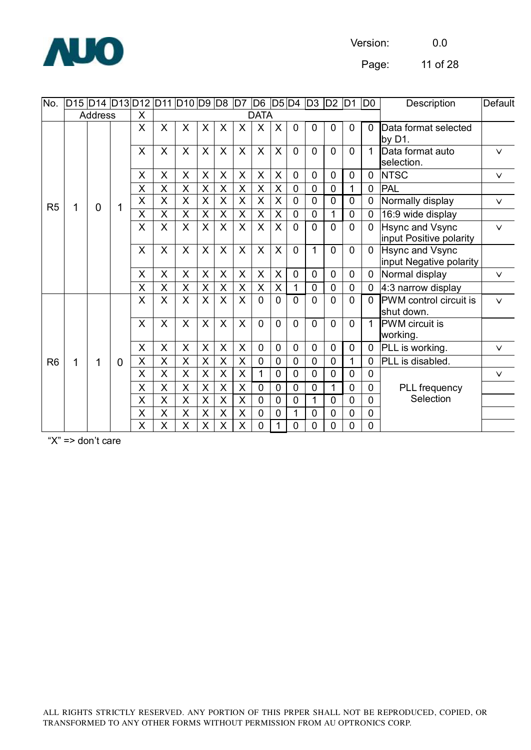

Page: 11 of 28

| No.            | D15  D14  D13 D12  D11  D10  D9  D8  D7  D6  D5 D4  D3 |                |   |                           |              |                           |                           |                         |                         |                |                         |                |                | D <sub>2</sub> | D1             | D <sub>0</sub> | Description                                       | Default |
|----------------|--------------------------------------------------------|----------------|---|---------------------------|--------------|---------------------------|---------------------------|-------------------------|-------------------------|----------------|-------------------------|----------------|----------------|----------------|----------------|----------------|---------------------------------------------------|---------|
|                |                                                        | <b>Address</b> |   | $\times$                  |              |                           |                           |                         |                         | <b>DATA</b>    |                         |                |                |                |                |                |                                                   |         |
|                |                                                        |                |   | $\sf X$                   | X            | X                         | $\sf X$                   | X                       | X                       | X              | $\times$                | $\overline{0}$ | 0              | $\mathbf 0$    | $\mathbf{0}$   | $\mathbf 0$    | Data format selected<br>by $D1$ .                 |         |
|                |                                                        |                |   | $\times$                  | X            | X                         | $\sf X$                   | X                       | X                       | $\sf X$        | X                       | $\overline{0}$ | $\overline{0}$ | $\overline{0}$ | $\Omega$       | 1              | Data format auto<br>selection.                    | $\vee$  |
|                |                                                        |                |   | X                         | X            | X                         | X                         | X                       | X                       | X              | X                       | 0              | 0              | $\mathbf 0$    | 0              | $\mathbf 0$    | <b>NTSC</b>                                       | $\vee$  |
|                |                                                        |                |   | X                         | $\mathsf{X}$ | $\overline{X}$            | $\times$                  | $\overline{\mathsf{X}}$ | X                       | $\overline{X}$ | $\overline{\mathsf{x}}$ | 0              | 0              | 0              | 1              | $\mathbf 0$    | <b>PAL</b>                                        |         |
| R <sub>5</sub> | 1                                                      | $\overline{0}$ | 1 | $\sf X$                   | X            | $\sf X$                   | $\sf X$                   | X                       | $\sf X$                 | $\sf X$        | $\sf X$                 | 0              | $\overline{0}$ | 0              | 0              | 0              | Normally display                                  | $\vee$  |
|                |                                                        |                |   | X                         | X            | $\overline{\mathsf{X}}$   | $\times$                  | $\overline{X}$          | $\overline{\mathsf{X}}$ | $\overline{X}$ | $\mathsf X$             | $\overline{0}$ | 0              | 1              | 0              | $\mathbf 0$    | 16:9 wide display                                 |         |
|                |                                                        |                |   | $\sf X$                   | X            | X                         | $\sf X$                   | $\times$                | $\overline{\mathsf{X}}$ | $\mathsf{X}$   | $\mathsf{X}$            | $\overline{0}$ | 0              | 0              | $\overline{0}$ | $\mathbf 0$    | <b>Hsync and Vsync</b><br>input Positive polarity | $\vee$  |
|                |                                                        |                |   | $\boldsymbol{\mathsf{X}}$ | $\mathsf{x}$ | $\mathsf{X}$              | $\sf X$                   | $\sf X$                 | $\sf X$                 | $\mathsf{X}$   | $\mathsf{X}$            | $\overline{0}$ | 1              | $\overline{0}$ | $\overline{0}$ | $\overline{0}$ | <b>Hsync and Vsync</b><br>input Negative polarity |         |
|                |                                                        |                |   | X                         | X            | $\boldsymbol{\mathsf{X}}$ | X                         | X                       | $\pmb{\times}$          | $\mathsf X$    | $\overline{\mathsf{X}}$ | 0              | 0              | $\mathbf 0$    | 0              | $\mathbf 0$    | Normal display                                    | $\vee$  |
|                |                                                        |                |   | X                         | X            | $\mathsf X$               | $\times$                  | $\sf X$                 | $\pmb{\times}$          | $\pmb{\times}$ | $\mathsf{X}$            | $\mathbf{1}$   | 0              | 0              | $\overline{0}$ | 0              | 4:3 narrow display                                |         |
|                |                                                        |                |   | X                         | X            | $\sf X$                   | $\sf X$                   | X                       | X                       | 0              | 0                       | 0              | 0              | $\overline{0}$ | $\overline{0}$ | $\Omega$       | PWM control circuit is<br>shut down.              | $\vee$  |
|                |                                                        |                |   | X                         | X            | $\mathsf{X}$              | $\sf X$                   | $\mathsf{X}$            | X                       | $\Omega$       | $\overline{0}$          | $\overline{0}$ | $\overline{0}$ | $\overline{0}$ | $\overline{0}$ | $\mathbf{1}$   | <b>PWM</b> circuit is<br>working.                 |         |
|                |                                                        |                |   | X                         | $\mathsf{X}$ | $\sf X$                   | $\boldsymbol{\mathsf{X}}$ | X                       | X                       | $\overline{0}$ | $\overline{0}$          | $\overline{0}$ | 0              | 0              | 0              | $\mathbf 0$    | PLL is working.                                   | $\vee$  |
| R <sub>6</sub> | 1                                                      | 1              | 0 | X                         | X            | $\boldsymbol{\mathsf{X}}$ | X                         | $\mathsf X$             | X                       | 0              | 0                       | $\overline{0}$ | 0              | 0              | 1              | 0              | PLL is disabled.                                  |         |
|                |                                                        |                |   | X                         | X            | $\sf X$                   | $\times$                  | X                       | X                       | 1              | 0                       | 0              | 0              | 0              | 0              | $\mathbf 0$    |                                                   | $\vee$  |
|                |                                                        |                |   | X                         | X            | $\boldsymbol{\mathsf{X}}$ | $\boldsymbol{\mathsf{X}}$ | X                       | X                       | 0              | 0                       | 0              | 0              | 1              | 0              | 0              | <b>PLL</b> frequency                              |         |
|                |                                                        |                |   | X                         | X            | $\sf X$                   | X                         | $\sf X$                 | X                       | 0              | 0                       | 0              | 1              | 0              | 0              | 0              | Selection                                         |         |
|                |                                                        |                |   | X                         | X            | $\sf X$                   | $\pmb{\times}$            | $\sf X$                 | $\overline{\mathsf{X}}$ | 0              | 0                       | 1              | 0              | 0              | 0              | $\mathbf 0$    |                                                   |         |
|                |                                                        |                |   | X                         | X            | X                         | X                         | X                       | X                       | 0              | 1                       | 0              | 0              | 0              | 0              | $\mathbf 0$    |                                                   |         |

"X" => don't care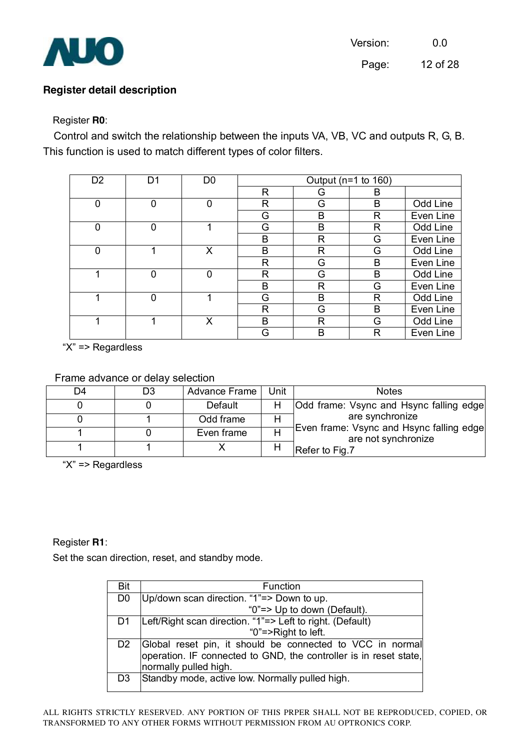

#### **Register detail description**

#### Register **R0**:

Control and switch the relationship between the inputs VA, VB, VC and outputs R, G, B. This function is used to match different types of color filters.

| D <sub>2</sub> | D1 | D <sub>0</sub> |   | Output ( $n=1$ to 160) |   |           |
|----------------|----|----------------|---|------------------------|---|-----------|
|                |    |                | R | G                      | B |           |
| 0              | 0  | 0              | R | G                      | B | Odd Line  |
|                |    |                | G | B                      | R | Even Line |
| 0              | 0  | 1              | G | B                      | R | Odd Line  |
|                |    |                | B | R                      | G | Even Line |
| 0              |    | Χ              | B | R                      | G | Odd Line  |
|                |    |                | R | G                      | B | Even Line |
|                | 0  | 0              | R | G                      | B | Odd Line  |
|                |    |                | B | R                      | G | Even Line |
|                | 0  |                | G | B                      | R | Odd Line  |
|                |    |                | R | G                      | B | Even Line |
| 4              |    | Χ              | B | R                      | G | Odd Line  |
|                |    |                | G | B                      | R | Even Line |

"X" => Regardless

#### Frame advance or delay selection

| D4 | D3 | Advance Frame | Unit | <b>Notes</b>                                                    |
|----|----|---------------|------|-----------------------------------------------------------------|
|    |    | Default       |      | <b>Odd frame: Vsync and Hsync falling edge</b>                  |
|    |    | Odd frame     |      | are synchronize                                                 |
|    |    | Even frame    |      | Even frame: Vsync and Hsync falling edge<br>are not synchronize |
|    |    |               |      | Refer to Fig.7                                                  |

"X" => Regardless

#### Register **R1**:

Set the scan direction, reset, and standby mode.

| Bit            | Function                                                          |
|----------------|-------------------------------------------------------------------|
| D <sub>0</sub> | Up/down scan direction. "1"=> Down to up.                         |
|                | "0"=> Up to down (Default).                                       |
| D1             | Left/Right scan direction. "1"=> Left to right. (Default)         |
|                | "0"=>Right to left.                                               |
| D <sub>2</sub> | Global reset pin, it should be connected to VCC in normal         |
|                | operation. IF connected to GND, the controller is in reset state, |
|                | normally pulled high.                                             |
| D <sub>3</sub> | Standby mode, active low. Normally pulled high.                   |
|                |                                                                   |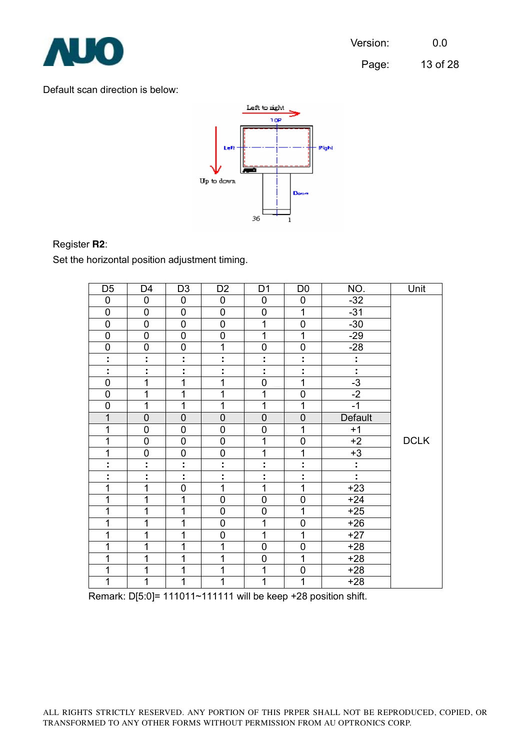

Page: 13 of 28

#### Default scan direction is below:



#### Register **R2**:

Set the horizontal position adjustment timing.

| D <sub>5</sub>      | D4             | D <sub>3</sub> | D <sub>2</sub> | D <sub>1</sub> | D <sub>0</sub>      | NO.            | Unit        |
|---------------------|----------------|----------------|----------------|----------------|---------------------|----------------|-------------|
| 0                   | $\pmb{0}$      | 0              | 0              | 0              | 0                   | $-32$          |             |
| $\overline{0}$      | 0              | $\mathbf 0$    | $\mathbf 0$    | 0              | 1                   | $-31$          |             |
| $\overline{0}$      | $\overline{0}$ | $\overline{0}$ | $\overline{0}$ | $\overline{1}$ | $\overline{0}$      | $-30$          |             |
| $\mathbf 0$         | $\pmb{0}$      | $\mathsf 0$    | $\mathbf 0$    | 1              | $\mathbf{1}$        | $-29$          |             |
| $\overline{0}$      | $\overline{0}$ | $\overline{0}$ | $\overline{1}$ | $\mathbf 0$    | 0                   | $-28$          |             |
| Ì.                  | t              | ÷              | t              | t              | t                   | ÷              |             |
| Ì,                  | Ì,             | t              | t              | Ì.             | ÷                   | ł,             |             |
| $\overline{0}$      | 1              | 1              | 1              | $\mathbf 0$    | $\mathbf{1}$        | $-3$           |             |
| $\mathbf 0$         | 1              | 1              | 1              | 1              | $\mathbf 0$         | $-2$           |             |
| $\mathbf 0$         | 1              | 1              | 1              | 1              | 1                   | $-1$           |             |
| $\overline{1}$      | $\overline{0}$ | $\overline{0}$ | $\mathbf 0$    | $\overline{0}$ | $\overline{0}$      | <b>Default</b> |             |
| $\mathbf 1$         | $\mathbf 0$    | $\mathbf 0$    | $\mathbf 0$    | $\mathbf 0$    | 1                   | $+1$           |             |
| 1                   | $\mathbf 0$    | $\mathsf 0$    | $\mathbf 0$    | 1              | 0                   | $+2$           | <b>DCLK</b> |
| 1                   | $\mathbf 0$    | $\mathsf 0$    | $\mathbf 0$    | 1              | 1                   | $+3$           |             |
| ٠<br>$\blacksquare$ | t              | t,             | t              | ٠<br>٠         | ٠<br>$\blacksquare$ | t,             |             |
| İ,                  | Ì              | t              | t              | ٠              | ÷                   | t,             |             |
| $\overline{1}$      | 1              | $\overline{0}$ | 1              | 1              | 1                   | $+23$          |             |
| 1                   | 1              | 1              | $\mathbf 0$    | 0              | 0                   | $+24$          |             |
| $\overline{1}$      | $\overline{1}$ | $\overline{1}$ | $\overline{0}$ | $\overline{0}$ | $\overline{1}$      | $+25$          |             |
| $\overline{1}$      | 1              | 1              | $\overline{0}$ | 1              | 0                   | $+26$          |             |
| 1                   | 1              | 1              | $\mathbf 0$    | 1              | $\overline{1}$      | $+27$          |             |
| 1                   | 1              | 1              | 1              | $\mathbf 0$    | 0                   | $+28$          |             |
| $\mathbf 1$         | 1              | 1              | 1              | $\overline{0}$ | $\mathbf{1}$        | $+28$          |             |
| 1                   | 1              | 1              | 1              | 1              | 0                   | $+28$          |             |
| $\overline{1}$      | 1              | $\overline{1}$ | 1              | 1              | $\mathbf{1}$        | $+28$          |             |

Remark: D[5:0]= 111011~111111 will be keep +28 position shift.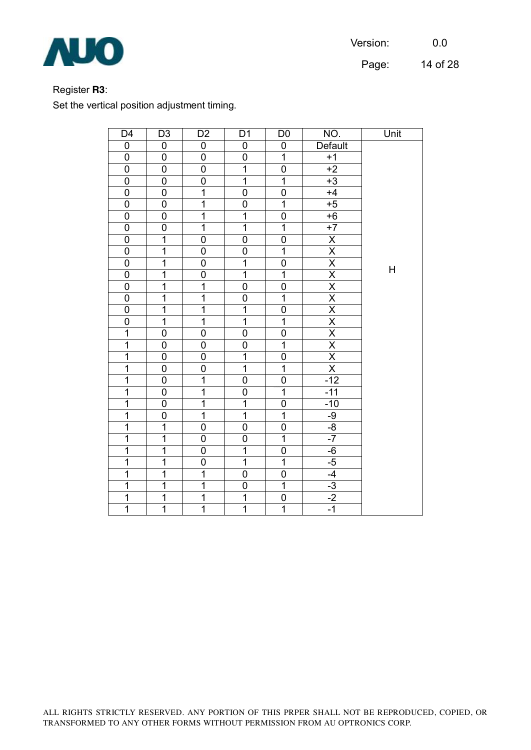

Page: 14 of 28

## Register **R3**:

Set the vertical position adjustment timing.

| D <sub>4</sub><br>$\overline{0}$ | D <sub>3</sub>          | D <sub>2</sub><br>$\overline{0}$ | D <sub>1</sub><br>$\overline{0}$ | D <sub>0</sub>                   | NO.                                                                       | Unit |
|----------------------------------|-------------------------|----------------------------------|----------------------------------|----------------------------------|---------------------------------------------------------------------------|------|
|                                  | $\overline{0}$          | $\overline{0}$                   | $\overline{0}$                   | $\overline{0}$<br>$\overline{1}$ | <b>Default</b>                                                            |      |
| $\overline{0}$                   | $\overline{0}$          |                                  |                                  |                                  | $+1$                                                                      |      |
| $\overline{0}$                   | $\overline{0}$          | $\overline{0}$                   | $\overline{1}$                   | $\overline{0}$                   | $+2$                                                                      |      |
| $\mathbf 0$                      | $\pmb{0}$               | $\mathbf 0$                      | $\overline{1}$                   | $\overline{1}$                   | $+3$                                                                      |      |
| $\overline{0}$                   | $\overline{0}$          | $\overline{1}$                   | $\overline{0}$                   | $\overline{0}$                   | $+4$                                                                      |      |
| $\overline{0}$                   | 0                       | $\overline{1}$                   | $\overline{0}$                   | $\overline{1}$                   | $+5$                                                                      |      |
| $\mathbf 0$                      | $\mathbf 0$             | $\overline{1}$                   | $\overline{1}$                   | $\overline{0}$                   | $+6$                                                                      |      |
| $\overline{0}$                   | $\overline{0}$          | $\overline{1}$                   | $\overline{1}$                   | $\overline{1}$                   | $+7$                                                                      |      |
| $\overline{0}$                   | $\overline{1}$          | $\overline{0}$                   | $\overline{0}$                   | $\overline{0}$                   | $\frac{\overline{X}}{\overline{X}}$                                       |      |
| $\overline{0}$                   | $\overline{1}$          | $\overline{0}$                   | $\overline{0}$                   | $\overline{1}$                   |                                                                           |      |
| $\mathbf 0$                      | $\overline{1}$          | $\mathbf 0$                      | $\overline{1}$                   | 0                                |                                                                           | Н    |
| $\overline{0}$                   | $\overline{1}$          | $\overline{0}$                   | $\overline{1}$                   | $\overline{1}$                   |                                                                           |      |
| $\overline{0}$                   | $\overline{\mathbf{1}}$ | $\overline{1}$                   | $\overline{0}$                   | $\overline{0}$                   |                                                                           |      |
| $\overline{0}$                   | $\overline{1}$          | $\overline{1}$                   | $\overline{0}$                   | $\overline{1}$                   |                                                                           |      |
| $\overline{0}$                   | $\overline{1}$          | $\overline{1}$                   | $\overline{\mathbf{1}}$          | $\overline{0}$                   |                                                                           |      |
| $\mathbf 0$                      | $\overline{1}$          | $\overline{1}$                   | $\overline{1}$                   | $\overline{1}$                   | $\frac{X}{X} \frac{X}{X} \frac{X}{X} \frac{X}{X} \frac{X}{X} \frac{X}{X}$ |      |
| $\overline{\mathbf{1}}$          | $\mathbf 0$             | $\mathbf 0$                      | 0                                | $\mathbf 0$                      |                                                                           |      |
| $\overline{\mathbf{1}}$          | $\overline{0}$          | $\overline{0}$                   | $\overline{0}$                   | $\overline{1}$                   |                                                                           |      |
| $\overline{1}$                   | $\overline{0}$          | $\overline{0}$                   | $\overline{1}$                   | 0                                |                                                                           |      |
| $\overline{1}$                   | $\overline{0}$          | $\overline{0}$                   | $\overline{1}$                   | $\overline{1}$                   | $\overline{\mathsf{x}}$                                                   |      |
| 1                                | $\mathbf 0$             | $\overline{1}$                   | 0                                | $\mathbf 0$                      | $-12$                                                                     |      |
| $\overline{1}$                   | $\overline{0}$          | $\overline{1}$                   | $\overline{0}$                   | $\overline{1}$                   | $-11$                                                                     |      |
| $\overline{1}$                   | $\overline{0}$          | $\overline{1}$                   | $\overline{1}$                   | $\overline{0}$                   | $-10$                                                                     |      |
| $\overline{1}$                   | $\overline{0}$          | $\overline{1}$                   | $\overline{\mathbf{1}}$          | $\overline{1}$                   |                                                                           |      |
| $\overline{\mathbf{1}}$          | $\overline{1}$          | $\overline{0}$                   | $\overline{0}$                   | $\overline{0}$                   | $\frac{-9}{-8}$                                                           |      |
| $\overline{\mathbf{1}}$          | $\overline{1}$          | $\overline{0}$                   | $\overline{0}$                   | $\overline{1}$                   | $-7$                                                                      |      |
| $\overline{\mathbf{1}}$          | $\overline{\mathbf{1}}$ | $\overline{0}$                   | $\overline{\mathbf{1}}$          | $\overline{0}$                   | $-6$                                                                      |      |
| $\overline{1}$                   | $\overline{1}$          | $\overline{0}$                   | $\overline{\mathbf{1}}$          | $\overline{1}$                   | $\frac{-5}{-4}$                                                           |      |
| $\overline{1}$                   | $\overline{1}$          | $\overline{1}$                   | $\overline{0}$                   | $\overline{0}$                   |                                                                           |      |
| $\overline{1}$                   | $\overline{1}$          | $\overline{1}$                   | $\overline{0}$                   | $\overline{1}$                   | $-3$                                                                      |      |
| $\overline{1}$                   | $\overline{1}$          | $\overline{1}$                   | $\overline{1}$                   | $\mathbf 0$                      | $-2$                                                                      |      |
| $\overline{1}$                   | $\overline{1}$          | $\overline{1}$                   | $\overline{1}$                   | $\overline{1}$                   | $-1$                                                                      |      |

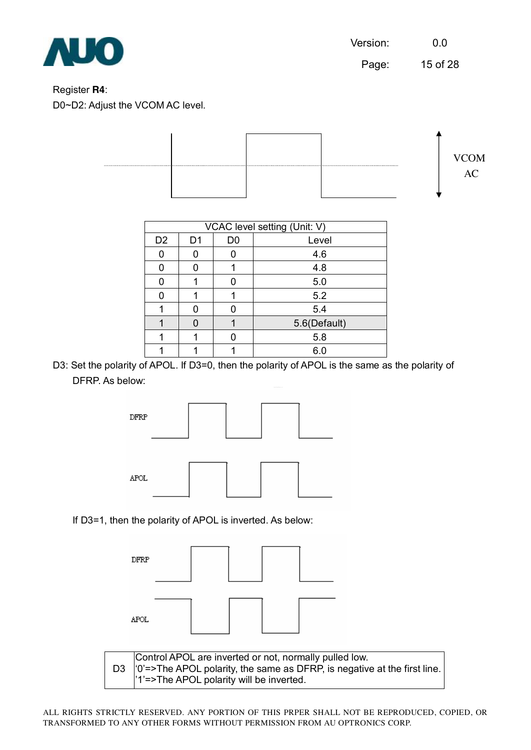Page: 15 of 28

#### Register **R4**:

D0~D2: Adjust the VCOM AC level.



|                | VCAC level setting (Unit: V) |                |              |  |  |  |  |  |  |
|----------------|------------------------------|----------------|--------------|--|--|--|--|--|--|
| D <sub>2</sub> | D <sub>1</sub>               | D <sub>0</sub> | Level        |  |  |  |  |  |  |
| ი              |                              | 0              | 4.6          |  |  |  |  |  |  |
|                |                              |                | 4.8          |  |  |  |  |  |  |
|                |                              |                | 5.0          |  |  |  |  |  |  |
|                |                              |                | 5.2          |  |  |  |  |  |  |
|                |                              |                | 5.4          |  |  |  |  |  |  |
|                |                              |                | 5.6(Default) |  |  |  |  |  |  |
|                |                              |                | 5.8          |  |  |  |  |  |  |
|                |                              |                | 6.0          |  |  |  |  |  |  |

D3: Set the polarity of APOL. If D3=0, then the polarity of APOL is the same as the polarity of DFRP. As below:



If D3=1, then the polarity of APOL is inverted. As below:

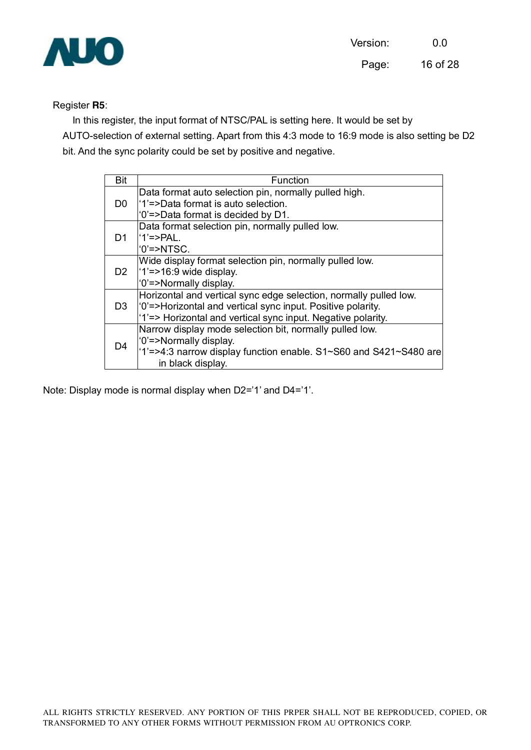

#### Register **R5**:

In this register, the input format of NTSC/PAL is setting here. It would be set by AUTO-selection of external setting. Apart from this 4:3 mode to 16:9 mode is also setting be D2 bit. And the sync polarity could be set by positive and negative.

| <b>Bit</b>     | Function                                                          |
|----------------|-------------------------------------------------------------------|
|                | Data format auto selection pin, normally pulled high.             |
| D <sub>0</sub> | '1'=>Data format is auto selection.                               |
|                | '0'=>Data format is decided by D1.                                |
|                | Data format selection pin, normally pulled low.                   |
| D1.            | $'1'$ =>PAL.                                                      |
|                | $'0'$ =>NTSC.                                                     |
|                | Wide display format selection pin, normally pulled low.           |
| D <sub>2</sub> | $ 1'=\ge 16.9$ wide display.                                      |
|                | '0'=>Normally display.                                            |
|                | Horizontal and vertical sync edge selection, normally pulled low. |
| D <sub>3</sub> | '0'=>Horizontal and vertical sync input. Positive polarity.       |
|                | '1'=> Horizontal and vertical sync input. Negative polarity.      |
|                | Narrow display mode selection bit, normally pulled low.           |
| D <sub>4</sub> | '0'=>Normally display.                                            |
|                | '1'=>4:3 narrow display function enable. S1~S60 and S421~S480 are |
|                | in black display.                                                 |

Note: Display mode is normal display when D2='1' and D4='1'.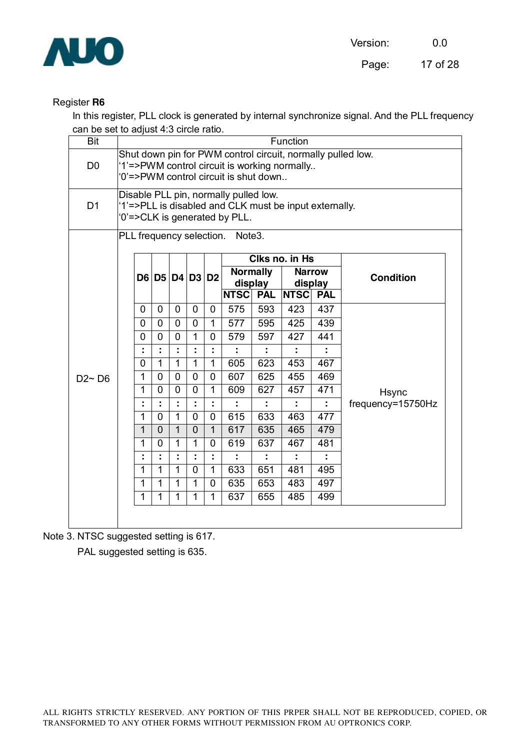

#### Register **R6**

In this register, PLL clock is generated by internal synchronize signal. And the PLL frequency can be set to adjust 4:3 circle ratio.

| <b>Bit</b>     | Function                                        |                                                                                                                                                      |                |                              |                             |                                                         |            |                                                                         |            |                  |                   |  |
|----------------|-------------------------------------------------|------------------------------------------------------------------------------------------------------------------------------------------------------|----------------|------------------------------|-----------------------------|---------------------------------------------------------|------------|-------------------------------------------------------------------------|------------|------------------|-------------------|--|
| D <sub>0</sub> |                                                 | Shut down pin for PWM control circuit, normally pulled low.<br>'1'=>PWM control circuit is working normally<br>'0'=>PWM control circuit is shut down |                |                              |                             |                                                         |            |                                                                         |            |                  |                   |  |
| D <sub>1</sub> |                                                 | Disable PLL pin, normally pulled low.<br>'1'=>PLL is disabled and CLK must be input externally.<br>'0'=>CLK is generated by PLL.                     |                |                              |                             |                                                         |            |                                                                         |            |                  |                   |  |
|                | PLL frequency selection.<br>Note <sub>3</sub> . |                                                                                                                                                      |                |                              |                             |                                                         |            |                                                                         |            |                  |                   |  |
|                |                                                 | D6   D5   D4   D3   D2                                                                                                                               |                |                              |                             | <b>Normally</b><br>display<br><b>NTSC</b><br><b>PAL</b> |            | Clks no. in Hs<br><b>Narrow</b><br>display<br><b>NTSC</b><br><b>PAL</b> |            | <b>Condition</b> |                   |  |
|                |                                                 | 0                                                                                                                                                    | 0              | $\overline{0}$               | $\mathbf 0$                 | $\mathbf 0$                                             | 575        | 593                                                                     | 423        | 437              |                   |  |
|                |                                                 | 0                                                                                                                                                    | 0              | $\mathbf 0$                  | 0                           | $\mathbf{1}$                                            | 577        | 595                                                                     | 425        | 439              |                   |  |
|                |                                                 | 0                                                                                                                                                    | 0              | $\mathbf 0$                  | $\mathbf{1}$                | $\mathbf 0$                                             | 579        | 597                                                                     | 427        | 441              |                   |  |
|                |                                                 | t,                                                                                                                                                   |                |                              | t                           |                                                         |            |                                                                         |            |                  |                   |  |
|                |                                                 | $\overline{0}$                                                                                                                                       | 1              | $\overline{1}$               | $\overline{1}$              | $\overline{1}$                                          | 605        | 623                                                                     | 453        | 467              |                   |  |
| $D2 \sim D6$   |                                                 | 1                                                                                                                                                    | 0              | $\overline{0}$               | 0                           | 0                                                       | 607        | 625                                                                     | 455        | 469              |                   |  |
|                |                                                 | $\mathbf{1}$                                                                                                                                         | $\Omega$       | $\Omega$                     | $\overline{0}$              | $\mathbf{1}$                                            | 609        | 627                                                                     | 457        | 471              | <b>Hsync</b>      |  |
|                |                                                 | ÷                                                                                                                                                    |                |                              | ÷                           |                                                         |            |                                                                         |            |                  | frequency=15750Hz |  |
|                |                                                 | 1                                                                                                                                                    | $\Omega$       | $\mathbf{1}$                 | $\overline{0}$              | $\Omega$                                                | 615        | 633                                                                     | 463        | 477              |                   |  |
|                |                                                 | 1                                                                                                                                                    | $\overline{0}$ | $\mathbf{1}$                 | $\mathbf 0$                 | $\mathbf{1}$                                            | 617        | 635                                                                     | 465        | 479              |                   |  |
|                |                                                 | 1                                                                                                                                                    | $\mathbf{0}$   | $\mathbf{1}$                 | $\mathbf{1}$                | $\overline{0}$                                          | 619        | 637                                                                     | 467        | 481              |                   |  |
|                |                                                 | ÷                                                                                                                                                    |                |                              | t                           | ÷                                                       |            |                                                                         | ÷          |                  |                   |  |
|                |                                                 | $\mathbf{1}$                                                                                                                                         | 1              | $\mathbf{1}$                 | $\overline{0}$              | $\mathbf{1}$                                            | 633        | 651                                                                     | 481        | 495              |                   |  |
|                |                                                 | 1<br>1                                                                                                                                               | 1<br>1         | $\mathbf{1}$<br>$\mathbf{1}$ | $\mathbf 1$<br>$\mathbf{1}$ | 0<br>$\mathbf{1}$                                       | 635<br>637 | 653<br>655                                                              | 483<br>485 | 497<br>499       |                   |  |
|                |                                                 |                                                                                                                                                      |                |                              |                             |                                                         |            |                                                                         |            |                  |                   |  |
|                |                                                 |                                                                                                                                                      |                |                              |                             |                                                         |            |                                                                         |            |                  |                   |  |

Note 3. NTSC suggested setting is 617.

PAL suggested setting is 635.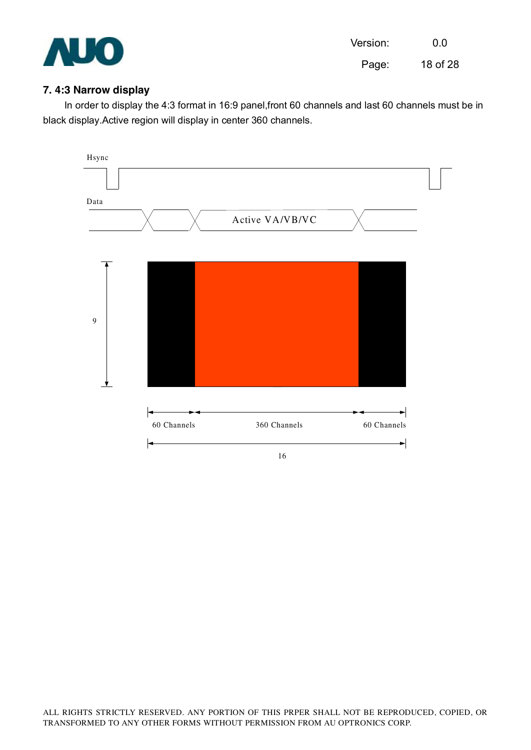

Page: 18 of 28

#### **7. 4:3 Narrow display**

In order to display the 4:3 format in 16:9 panel,front 60 channels and last 60 channels must be in black display.Active region will display in center 360 channels.

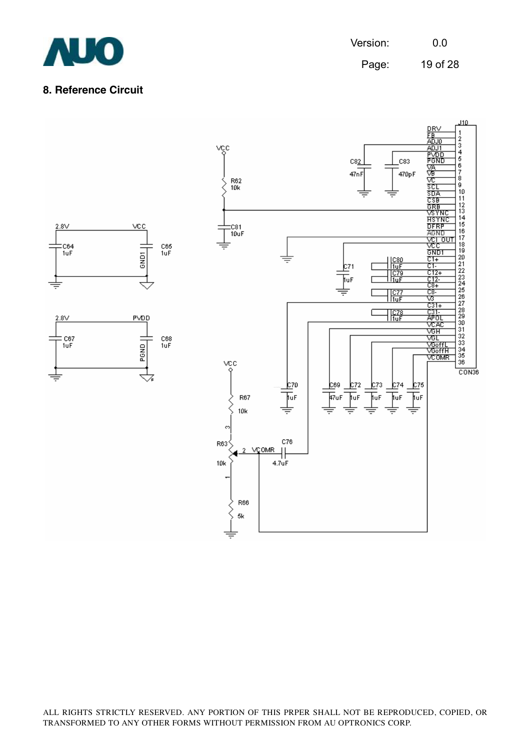

Page: 19 of 28

#### **8. Reference Circuit**

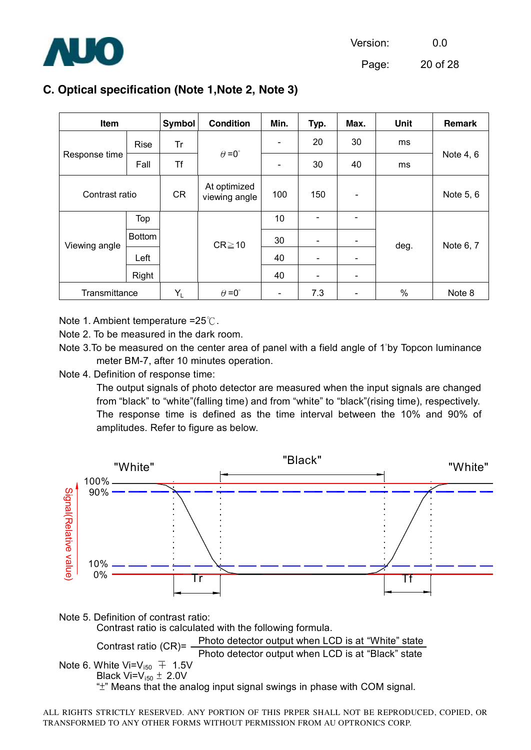

Page: 20 of 28

# **C. Optical specification (Note 1,Note 2, Note 3)**

| Item           |               | Symbol    | <b>Condition</b>              | Min.                     | Typ.           | Max.                     | <b>Unit</b> | Remark    |
|----------------|---------------|-----------|-------------------------------|--------------------------|----------------|--------------------------|-------------|-----------|
| Response time  | <b>Rise</b>   | Tr        |                               |                          | 20             | 30                       | ms          | Note 4, 6 |
|                | Fall          | Τf        | $\theta = 0^{\circ}$          |                          | 30             | 40                       | ms          |           |
| Contrast ratio |               | <b>CR</b> | At optimized<br>viewing angle | 100                      | 150            | $\overline{\phantom{a}}$ |             | Note 5, 6 |
| Viewing angle  | Top           |           | $CR \ge 10$                   | 10                       | $\blacksquare$ |                          | deg.        | Note 6, 7 |
|                | <b>Bottom</b> |           |                               | 30                       |                |                          |             |           |
|                | Left          |           |                               | 40                       |                |                          |             |           |
|                | Right         |           |                               | 40                       | $\blacksquare$ |                          |             |           |
| Transmittance  |               | $Y_L$     | $\theta = 0^{\circ}$          | $\overline{\phantom{a}}$ | 7.3            |                          | %           | Note 8    |

Note 1. Ambient temperature =25℃.

Note 2. To be measured in the dark room.

Note 3.To be measured on the center area of panel with a field angle of 1°by Topcon luminance meter BM-7, after 10 minutes operation.

Note 4. Definition of response time:

The output signals of photo detector are measured when the input signals are changed from "black" to "white"(falling time) and from "white" to "black"(rising time), respectively. The response time is defined as the time interval between the 10% and 90% of amplitudes. Refer to figure as below.



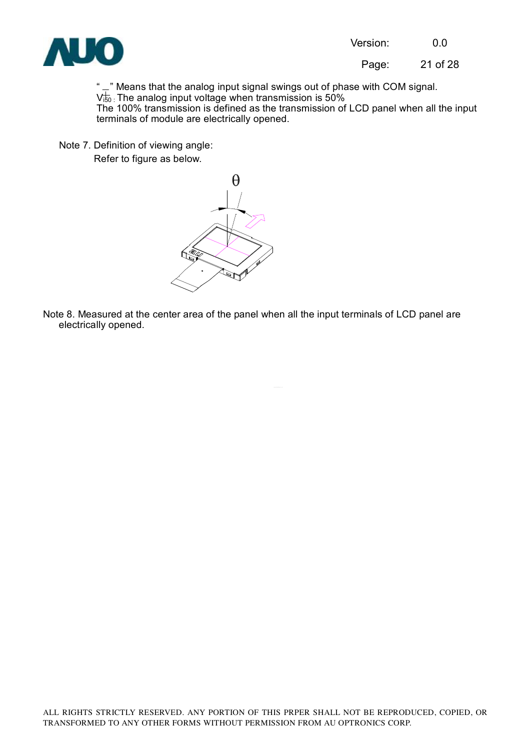

Page: 21 of 28

" $\mathbb{L}$ " Means that the analog input signal swings out of phase with COM signal.  $V_{50}^{+}$  The analog input voltage when transmission is 50% The 100% transmission is defined as the transmission of LCD panel when all the input terminals of module are electrically opened.

Note 7. Definition of viewing angle: Refer to figure as below.



Note 8. Measured at the center area of the panel when all the input terminals of LCD panel are electrically opened.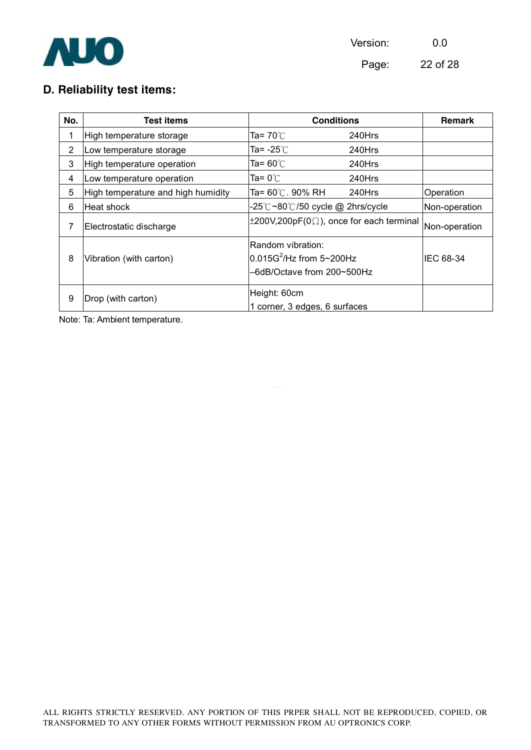

Page: 22 of 28

# **D. Reliability test items:**

| No.            | Test items                         | <b>Conditions</b>                                                              | <b>Remark</b> |               |
|----------------|------------------------------------|--------------------------------------------------------------------------------|---------------|---------------|
| 1              | High temperature storage           | Ta= $70^{\circ}$ C                                                             | 240Hrs        |               |
| $\overline{2}$ | Low temperature storage            | Ta= -25 $°C$                                                                   | 240Hrs        |               |
| 3              | High temperature operation         | Ta= $60^{\circ}$ C                                                             | 240Hrs        |               |
| 4              | Low temperature operation          | Ta= 0 $^{\circ}$ C                                                             | 240Hrs        |               |
| 5              | High temperature and high humidity | Ta= 60℃. 90% RH                                                                | 240Hrs        | Operation     |
| 6              | Heat shock                         | -25°C~80°C/50 cycle @ 2hrs/cycle                                               |               | Non-operation |
| 7              | Electrostatic discharge            | $\pm 200V, 200pF(0\Omega)$ , once for each terminal                            |               | Non-operation |
| 8              | Vibration (with carton)            | Random vibration:<br>$0.015G^2$ /Hz from 5~200Hz<br>-6dB/Octave from 200~500Hz | IEC 68-34     |               |
| 9              | Drop (with carton)                 | Height: 60cm<br>1 corner, 3 edges, 6 surfaces                                  |               |               |

Note: Ta: Ambient temperature.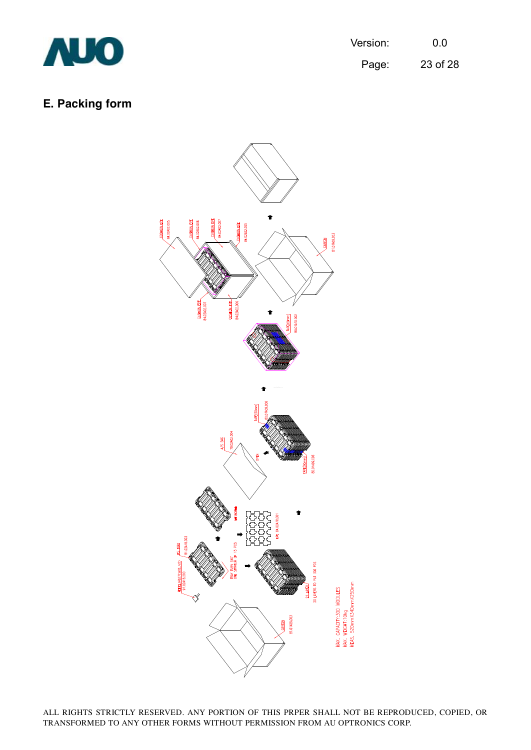

Page: 23 of 28

# **E. Packing form**

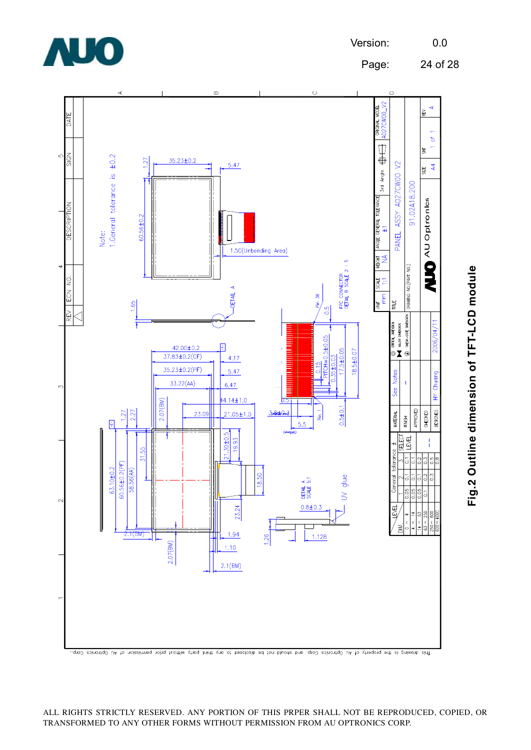

Page: 24 of 28



This drowing is the property of Mu Optronics Corp, and should not be disclosed to any third prin thout permission of AU Optronics Corp.

**Fig.2 O utlin e dim e n sio n of T F T-L**  $\mathbf{\mathbf{\mathsf{C}}}$ **D m o d ule**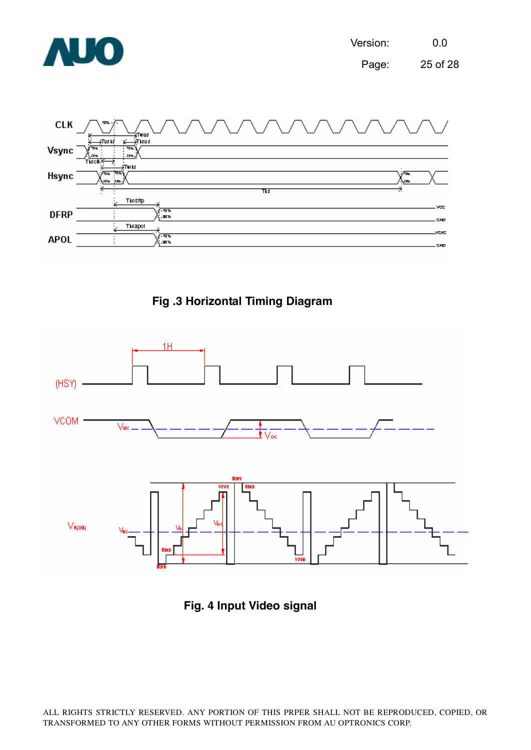







**Fig. 4 Input Video signal**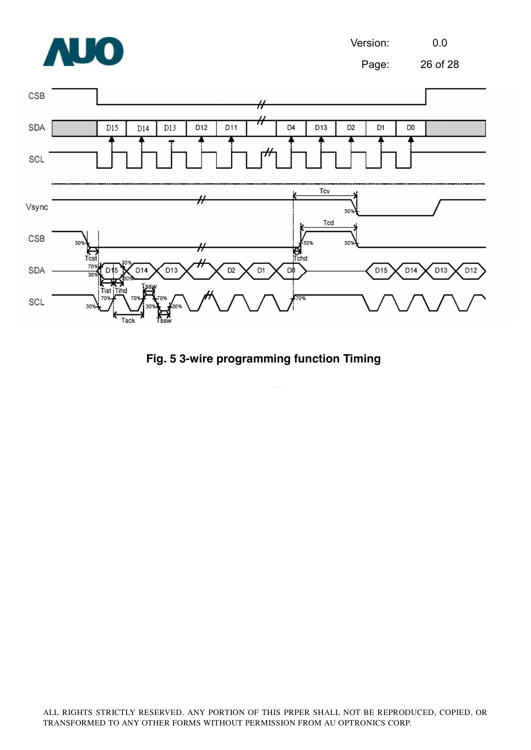

**Fig. 5 3-wire programming function Timing**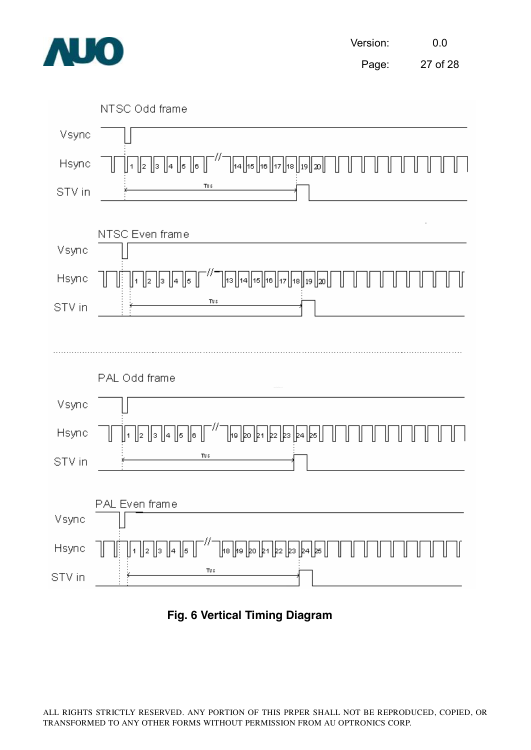



**Fig. 6 Vertical Timing Diagram**